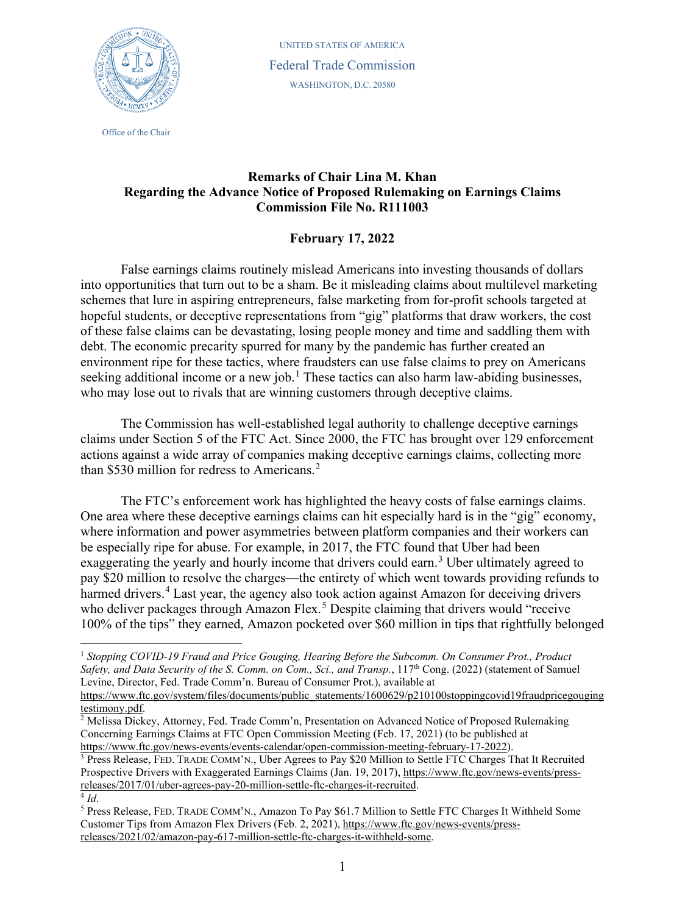

Office of the Chair

UNITED STATES OF AMERICA Federal Trade Commission WASHINGTON, D.C. 20580

## **Remarks of Chair Lina M. Khan Regarding the Advance Notice of Proposed Rulemaking on Earnings Claims Commission File No. R111003**

## **February 17, 2022**

False earnings claims routinely mislead Americans into investing thousands of dollars into opportunities that turn out to be a sham. Be it misleading claims about multilevel marketing schemes that lure in aspiring entrepreneurs, false marketing from for-profit schools targeted at hopeful students, or deceptive representations from "gig" platforms that draw workers, the cost of these false claims can be devastating, losing people money and time and saddling them with debt. The economic precarity spurred for many by the pandemic has further created an environment ripe for these tactics, where fraudsters can use false claims to prey on Americans seeking additional income or a new job.<sup>[1](#page-0-0)</sup> These tactics can also harm law-abiding businesses, who may lose out to rivals that are winning customers through deceptive claims.

The Commission has well-established legal authority to challenge deceptive earnings claims under Section 5 of the FTC Act. Since 2000, the FTC has brought over 129 enforcement actions against a wide array of companies making deceptive earnings claims, collecting more than \$530 million for redress to Americans.<sup>[2](#page-0-1)</sup>

The FTC's enforcement work has highlighted the heavy costs of false earnings claims. One area where these deceptive earnings claims can hit especially hard is in the "gig" economy, where information and power asymmetries between platform companies and their workers can be especially ripe for abuse. For example, in 2017, the FTC found that Uber had been exaggerating the yearly and hourly income that drivers could earn.<sup>[3](#page-0-2)</sup> Uber ultimately agreed to pay \$20 million to resolve the charges—the entirety of which went towards providing refunds to harmed drivers.<sup>[4](#page-0-3)</sup> Last year, the agency also took action against Amazon for deceiving drivers who deliver packages through Amazon Flex.<sup>[5](#page-0-4)</sup> Despite claiming that drivers would "receive 100% of the tips" they earned, Amazon pocketed over \$60 million in tips that rightfully belonged

<span id="page-0-0"></span><sup>&</sup>lt;sup>1</sup> Stopping COVID-19 Fraud and Price Gouging, Hearing Before the Subcomm. On Consumer Prot., Product *Safety, and Data Security of the S. Comm. on Com., Sci., and Transp.*, 117th Cong. (2022) (statement of Samuel Levine, Director, Fed. Trade Comm'n. Bureau of Consumer Prot.), available at [https://www.ftc.gov/system/files/documents/public\\_statements/1600629/p210100stoppingcovid19fraudpricegouging](https://www.ftc.gov/system/files/documents/public_statements/1600629/p210100stoppingcovid19fraudpricegougingtestimony.pdf)

<span id="page-0-1"></span>[testimony.pdf.](https://www.ftc.gov/system/files/documents/public_statements/1600629/p210100stoppingcovid19fraudpricegougingtestimony.pdf)

<sup>&</sup>lt;sup>2</sup> Melissa Dickey, Attorney, Fed. Trade Comm'n, Presentation on Advanced Notice of Proposed Rulemaking Concerning Earnings Claims at FTC Open Commission Meeting (Feb. 17, 2021) (to be published at [https://www.ftc.gov/news-events/events-calendar/open-commission-meeting-february-17-2022\)](https://www.ftc.gov/news-events/events-calendar/open-commission-meeting-february-17-2022).

<span id="page-0-2"></span><sup>3</sup> Press Release, FED. TRADE COMM'N., Uber Agrees to Pay \$20 Million to Settle FTC Charges That It Recruited Prospective Drivers with Exaggerated Earnings Claims (Jan. 19, 2017), [https://www.ftc.gov/news-events/press](https://www.ftc.gov/news-events/press-releases/2017/01/uber-agrees-pay-20-million-settle-ftc-charges-it-recruited)[releases/2017/01/uber-agrees-pay-20-million-settle-ftc-charges-it-recruited.](https://www.ftc.gov/news-events/press-releases/2017/01/uber-agrees-pay-20-million-settle-ftc-charges-it-recruited)  $\overline{4}$  *Id*.

<span id="page-0-4"></span><span id="page-0-3"></span><sup>5</sup> Press Release, FED. TRADE COMM'N., Amazon To Pay \$61.7 Million to Settle FTC Charges It Withheld Some Customer Tips from Amazon Flex Drivers (Feb. 2, 2021)[, https://www.ftc.gov/news-events/press](https://www.ftc.gov/news-events/press-releases/2021/02/amazon-pay-617-million-settle-ftc-charges-it-withheld-some)[releases/2021/02/amazon-pay-617-million-settle-ftc-charges-it-withheld-some.](https://www.ftc.gov/news-events/press-releases/2021/02/amazon-pay-617-million-settle-ftc-charges-it-withheld-some)